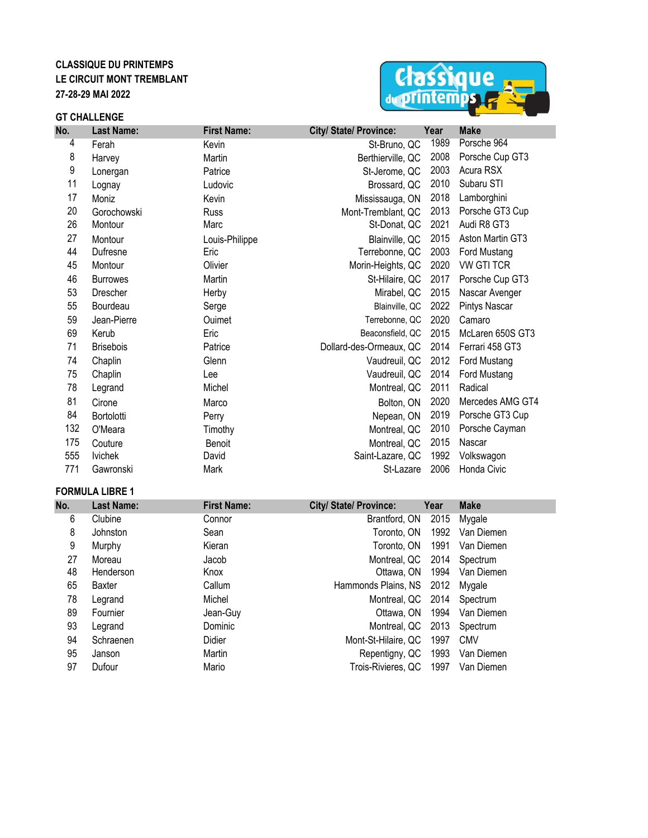# **CLASSIQUE DU PRINTEMPS LE CIRCUIT MONT TREMBLANT 27-28-29 MAI 2022**

#### **GT CHALLENGE**



| No. | <b>Last Name:</b> | <b>First Name:</b> | City/ State/ Province:  | Year | <b>Make</b>       |
|-----|-------------------|--------------------|-------------------------|------|-------------------|
| 4   | Ferah             | Kevin              | St-Bruno, QC            | 1989 | Porsche 964       |
| 8   | Harvey            | Martin             | Berthierville, QC       | 2008 | Porsche Cup GT3   |
| 9   | Lonergan          | Patrice            | St-Jerome, QC           | 2003 | Acura RSX         |
| 11  | Lognay            | Ludovic            | Brossard, QC            | 2010 | Subaru STI        |
| 17  | Moniz             | Kevin              | Mississauga, ON         | 2018 | Lamborghini       |
| 20  | Gorochowski       | <b>Russ</b>        | Mont-Tremblant, QC      | 2013 | Porsche GT3 Cup   |
| 26  | Montour           | Marc               | St-Donat, QC            | 2021 | Audi R8 GT3       |
| 27  | Montour           | Louis-Philippe     | Blainville, QC          | 2015 | Aston Martin GT3  |
| 44  | Dufresne          | Eric               | Terrebonne, QC          | 2003 | Ford Mustang      |
| 45  | Montour           | Olivier            | Morin-Heights, QC       | 2020 | <b>VW GTI TCR</b> |
| 46  | <b>Burrowes</b>   | Martin             | St-Hilaire, QC          | 2017 | Porsche Cup GT3   |
| 53  | <b>Drescher</b>   | Herby              | Mirabel, QC             | 2015 | Nascar Avenger    |
| 55  | Bourdeau          | Serge              | Blainville, QC          | 2022 | Pintys Nascar     |
| 59  | Jean-Pierre       | Ouimet             | Terrebonne, QC          | 2020 | Camaro            |
| 69  | Kerub             | Eric               | Beaconsfield, QC        | 2015 | McLaren 650S GT3  |
| 71  | <b>Brisebois</b>  | Patrice            | Dollard-des-Ormeaux, QC | 2014 | Ferrari 458 GT3   |
| 74  | Chaplin           | Glenn              | Vaudreuil, QC           | 2012 | Ford Mustang      |
| 75  | Chaplin           | Lee                | Vaudreuil. QC           | 2014 | Ford Mustang      |
| 78  | Legrand           | Michel             | Montreal, QC            | 2011 | Radical           |
| 81  | Cirone            | Marco              | Bolton, ON              | 2020 | Mercedes AMG GT4  |
| 84  | Bortolotti        | Perry              | Nepean, ON              | 2019 | Porsche GT3 Cup   |
| 132 | O'Meara           | Timothy            | Montreal, QC            | 2010 | Porsche Cayman    |
| 175 | Couture           | Benoit             | Montreal, QC            | 2015 | Nascar            |
| 555 | <b>Ivichek</b>    | David              | Saint-Lazare, QC        | 1992 | Volkswagon        |
| 771 | Gawronski         | Mark               | St-Lazare               | 2006 | Honda Civic       |

#### **FORMULA LIBRE 1**

| No. | <b>Last Name:</b> | <b>First Name:</b> | <b>City/ State/ Province:</b> | Year | <b>Make</b>     |  |
|-----|-------------------|--------------------|-------------------------------|------|-----------------|--|
| 6   | Clubine           | Connor             | Brantford, ON                 | 2015 | Mygale          |  |
| 8   | Johnston          | Sean               | Toronto, ON                   | 1992 | Van Diemen      |  |
| 9   | Murphy            | Kieran             | Toronto, ON                   | 1991 | Van Diemen      |  |
| 27  | Moreau            | Jacob              | Montreal, QC                  | 2014 | Spectrum        |  |
| 48  | Henderson         | Knox               | Ottawa, ON                    | 1994 | Van Diemen      |  |
| 65  | Baxter            | Callum             | Hammonds Plains, NS 2012      |      | Mygale          |  |
| 78  | Legrand           | Michel             | Montreal, QC 2014 Spectrum    |      |                 |  |
| 89  | Fournier          | Jean-Guy           | Ottawa, ON                    |      | 1994 Van Diemen |  |
| 93  | Legrand           | Dominic            | Montreal, QC                  | 2013 | Spectrum        |  |
| 94  | Schraenen         | Didier             | Mont-St-Hilaire, QC           | 1997 | <b>CMV</b>      |  |
| 95  | Janson            | Martin             | Repentigny, QC                | 1993 | Van Diemen      |  |
| 97  | Dufour            | Mario              | Trois-Rivieres, QC            | 1997 | Van Diemen      |  |
|     |                   |                    |                               |      |                 |  |